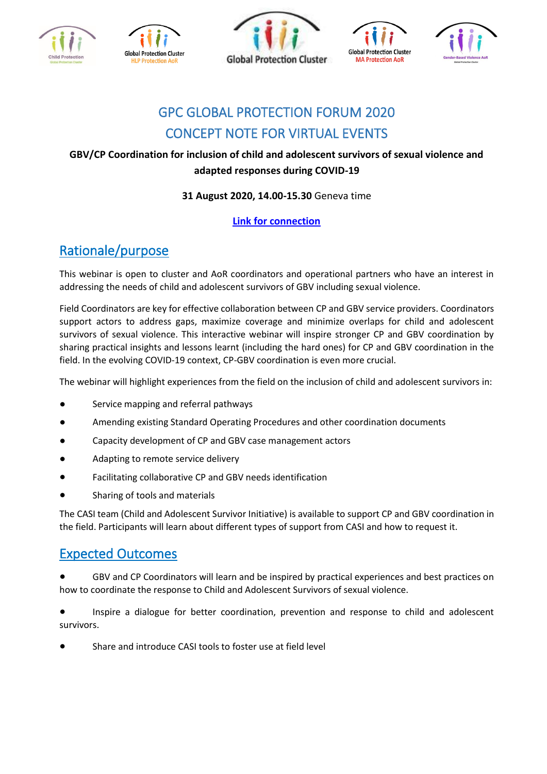









# GPC GLOBAL PROTECTION FORUM 2020 CONCEPT NOTE FOR VIRTUAL EVENTS

#### **GBV/CP Coordination for inclusion of child and adolescent survivors of sexual violence and adapted responses during COVID-19**

#### **31 August 2020, 14.00-15.30** Geneva time

#### **[Link for connection](https://unfpa.zoom.us/j/98002086142?pwd=RHZaUDFiTUdjRFcyNlRqS2ltbHNBQT09)**

## Rationale/purpose

This webinar is open to cluster and AoR coordinators and operational partners who have an interest in addressing the needs of child and adolescent survivors of GBV including sexual violence.

Field Coordinators are key for effective collaboration between CP and GBV service providers. Coordinators support actors to address gaps, maximize coverage and minimize overlaps for child and adolescent survivors of sexual violence. This interactive webinar will inspire stronger CP and GBV coordination by sharing practical insights and lessons learnt (including the hard ones) for CP and GBV coordination in the field. In the evolving COVID-19 context, CP-GBV coordination is even more crucial.

The webinar will highlight experiences from the field on the inclusion of child and adolescent survivors in:

- Service mapping and referral pathways
- Amending existing Standard Operating Procedures and other coordination documents
- Capacity development of CP and GBV case management actors
- Adapting to remote service delivery
- Facilitating collaborative CP and GBV needs identification
- Sharing of tools and materials

The CASI team (Child and Adolescent Survivor Initiative) is available to support CP and GBV coordination in the field. Participants will learn about different types of support from CASI and how to request it.

### Expected Outcomes

GBV and CP Coordinators will learn and be inspired by practical experiences and best practices on how to coordinate the response to Child and Adolescent Survivors of sexual violence.

Inspire a dialogue for better coordination, prevention and response to child and adolescent survivors.

Share and introduce CASI tools to foster use at field level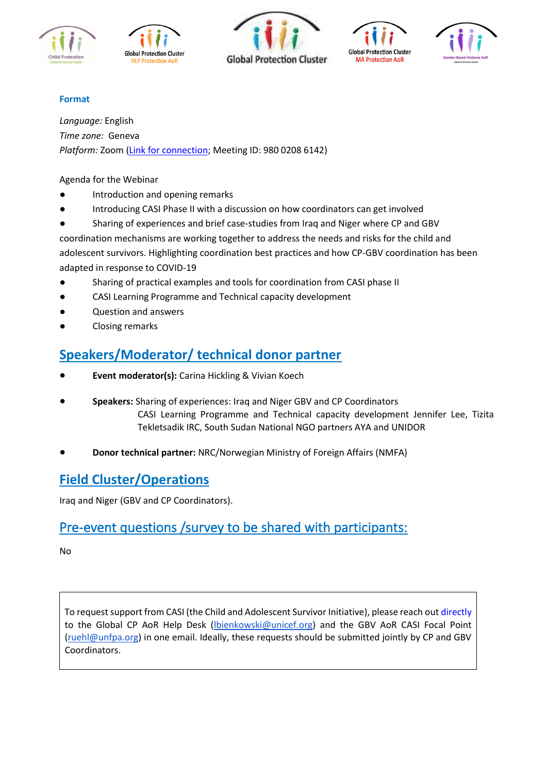









#### **Format**

*Language:* English *Time zone:* Geneva *Platform:* Zoom [\(Link for connection;](https://unfpa.zoom.us/j/98002086142) Meeting ID: 980 0208 6142)

Agenda for the Webinar

- Introduction and opening remarks
- Introducing CASI Phase II with a discussion on how coordinators can get involved
- Sharing of experiences and brief case-studies from Iraq and Niger where CP and GBV
- coordination mechanisms are working together to address the needs and risks for the child and adolescent survivors. Highlighting coordination best practices and how CP-GBV coordination has been adapted in response to COVID-19
- Sharing of practical examples and tools for coordination from CASI phase II
- CASI Learning Programme and Technical capacity development
- Question and answers
- Closing remarks

## **Speakers/Moderator/ technical donor partner**

- **Event moderator(s):** Carina Hickling & Vivian Koech
- **Speakers:** Sharing of experiences: Iraq and Niger GBV and CP Coordinators CASI Learning Programme and Technical capacity development Jennifer Lee, Tizita Tekletsadik IRC, South Sudan National NGO partners AYA and UNIDOR
- **Donor technical partner:** NRC/Norwegian Ministry of Foreign Affairs (NMFA)

### **Field Cluster/Operations**

Iraq and Niger (GBV and CP Coordinators).

### Pre-event questions /survey to be shared with participants:

No

To request support from CASI (the Child and Adolescent Survivor Initiative), please reach out directly to the Global CP AoR Help Desk [\(lbienkowski@unicef.org\)](mailto:lbienkowski@unicef.org) and the GBV AoR CASI Focal Point [\(ruehl@unfpa.org\)](mailto:ruehl@unfpa.org) in one email. Ideally, these requests should be submitted jointly by CP and GBV Coordinators.